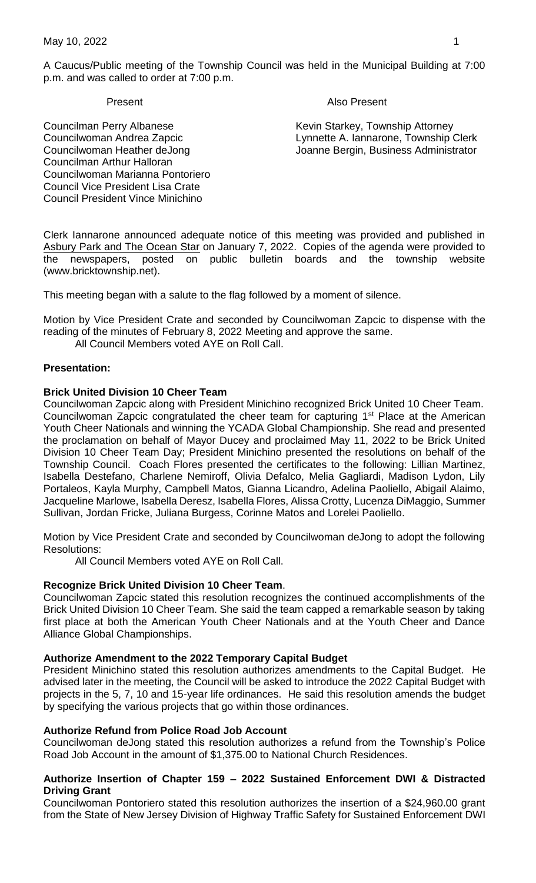A Caucus/Public meeting of the Township Council was held in the Municipal Building at 7:00 p.m. and was called to order at 7:00 p.m.

#### Present **Also Present**

Councilman Perry Albanese Kevin Starkey, Township Attorney Councilwoman Andrea Zapcic Lynnette A. Iannarone, Township Clerk Councilwoman Heather deJong Joanne Bergin, Business Administrator

Councilman Arthur Halloran Councilwoman Marianna Pontoriero Council Vice President Lisa Crate Council President Vince Minichino

Clerk Iannarone announced adequate notice of this meeting was provided and published in Asbury Park and The Ocean Star on January 7, 2022. Copies of the agenda were provided to the newspapers, posted on public bulletin boards and the township website (www.bricktownship.net).

This meeting began with a salute to the flag followed by a moment of silence.

Motion by Vice President Crate and seconded by Councilwoman Zapcic to dispense with the reading of the minutes of February 8, 2022 Meeting and approve the same.

All Council Members voted AYE on Roll Call.

## **Presentation:**

## **Brick United Division 10 Cheer Team**

Councilwoman Zapcic along with President Minichino recognized Brick United 10 Cheer Team. Councilwoman Zapcic congratulated the cheer team for capturing 1<sup>st</sup> Place at the American Youth Cheer Nationals and winning the YCADA Global Championship. She read and presented the proclamation on behalf of Mayor Ducey and proclaimed May 11, 2022 to be Brick United Division 10 Cheer Team Day; President Minichino presented the resolutions on behalf of the Township Council. Coach Flores presented the certificates to the following: Lillian Martinez, Isabella Destefano, Charlene Nemiroff, Olivia Defalco, Melia Gagliardi, Madison Lydon, Lily Portaleos, Kayla Murphy, Campbell Matos, Gianna Licandro, Adelina Paoliello, Abigail Alaimo, Jacqueline Marlowe, Isabella Deresz, Isabella Flores, Alissa Crotty, Lucenza DiMaggio, Summer Sullivan, Jordan Fricke, Juliana Burgess, Corinne Matos and Lorelei Paoliello.

Motion by Vice President Crate and seconded by Councilwoman deJong to adopt the following Resolutions:

All Council Members voted AYE on Roll Call.

## **Recognize Brick United Division 10 Cheer Team**.

Councilwoman Zapcic stated this resolution recognizes the continued accomplishments of the Brick United Division 10 Cheer Team. She said the team capped a remarkable season by taking first place at both the American Youth Cheer Nationals and at the Youth Cheer and Dance Alliance Global Championships.

## **Authorize Amendment to the 2022 Temporary Capital Budget**

President Minichino stated this resolution authorizes amendments to the Capital Budget. He advised later in the meeting, the Council will be asked to introduce the 2022 Capital Budget with projects in the 5, 7, 10 and 15-year life ordinances. He said this resolution amends the budget by specifying the various projects that go within those ordinances.

## **Authorize Refund from Police Road Job Account**

Councilwoman deJong stated this resolution authorizes a refund from the Township's Police Road Job Account in the amount of \$1,375.00 to National Church Residences.

## **Authorize Insertion of Chapter 159 – 2022 Sustained Enforcement DWI & Distracted Driving Grant**

Councilwoman Pontoriero stated this resolution authorizes the insertion of a \$24,960.00 grant from the State of New Jersey Division of Highway Traffic Safety for Sustained Enforcement DWI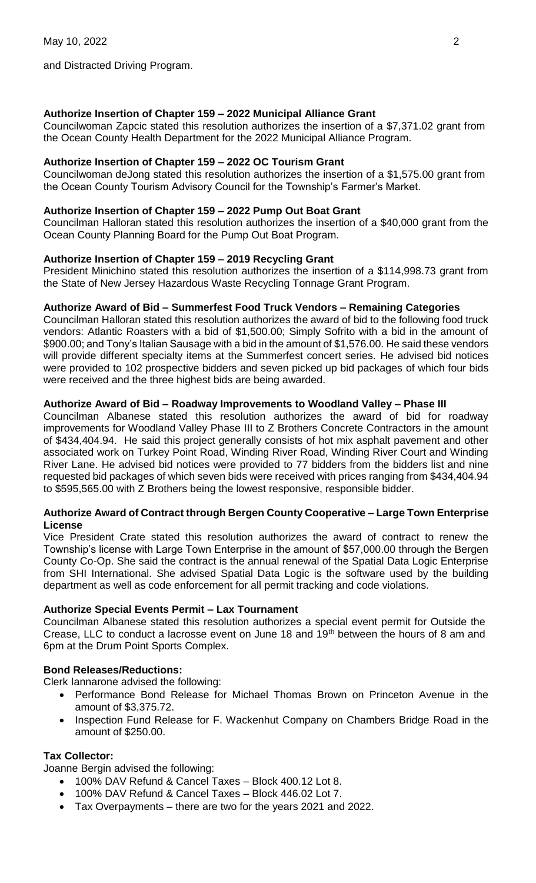and Distracted Driving Program.

## **Authorize Insertion of Chapter 159 – 2022 Municipal Alliance Grant**

Councilwoman Zapcic stated this resolution authorizes the insertion of a \$7,371.02 grant from the Ocean County Health Department for the 2022 Municipal Alliance Program.

## **Authorize Insertion of Chapter 159 – 2022 OC Tourism Grant**

Councilwoman deJong stated this resolution authorizes the insertion of a \$1,575.00 grant from the Ocean County Tourism Advisory Council for the Township's Farmer's Market.

## **Authorize Insertion of Chapter 159 – 2022 Pump Out Boat Grant**

Councilman Halloran stated this resolution authorizes the insertion of a \$40,000 grant from the Ocean County Planning Board for the Pump Out Boat Program.

## **Authorize Insertion of Chapter 159 – 2019 Recycling Grant**

President Minichino stated this resolution authorizes the insertion of a \$114,998.73 grant from the State of New Jersey Hazardous Waste Recycling Tonnage Grant Program.

## **Authorize Award of Bid – Summerfest Food Truck Vendors – Remaining Categories**

Councilman Halloran stated this resolution authorizes the award of bid to the following food truck vendors: Atlantic Roasters with a bid of \$1,500.00; Simply Sofrito with a bid in the amount of \$900.00; and Tony's Italian Sausage with a bid in the amount of \$1,576.00. He said these vendors will provide different specialty items at the Summerfest concert series. He advised bid notices were provided to 102 prospective bidders and seven picked up bid packages of which four bids were received and the three highest bids are being awarded.

## **Authorize Award of Bid – Roadway Improvements to Woodland Valley – Phase III**

Councilman Albanese stated this resolution authorizes the award of bid for roadway improvements for Woodland Valley Phase III to Z Brothers Concrete Contractors in the amount of \$434,404.94. He said this project generally consists of hot mix asphalt pavement and other associated work on Turkey Point Road, Winding River Road, Winding River Court and Winding River Lane. He advised bid notices were provided to 77 bidders from the bidders list and nine requested bid packages of which seven bids were received with prices ranging from \$434,404.94 to \$595,565.00 with Z Brothers being the lowest responsive, responsible bidder.

## **Authorize Award of Contract through Bergen County Cooperative – Large Town Enterprise License**

Vice President Crate stated this resolution authorizes the award of contract to renew the Township's license with Large Town Enterprise in the amount of \$57,000.00 through the Bergen County Co-Op. She said the contract is the annual renewal of the Spatial Data Logic Enterprise from SHI International. She advised Spatial Data Logic is the software used by the building department as well as code enforcement for all permit tracking and code violations.

## **Authorize Special Events Permit – Lax Tournament**

Councilman Albanese stated this resolution authorizes a special event permit for Outside the Crease, LLC to conduct a lacrosse event on June 18 and 19<sup>th</sup> between the hours of 8 am and 6pm at the Drum Point Sports Complex.

## **Bond Releases/Reductions:**

Clerk Iannarone advised the following:

- Performance Bond Release for Michael Thomas Brown on Princeton Avenue in the amount of \$3,375.72.
- Inspection Fund Release for F. Wackenhut Company on Chambers Bridge Road in the amount of \$250.00.

## **Tax Collector:**

Joanne Bergin advised the following:

- 100% DAV Refund & Cancel Taxes Block 400.12 Lot 8.
- 100% DAV Refund & Cancel Taxes Block 446.02 Lot 7.
- Tax Overpayments there are two for the years 2021 and 2022.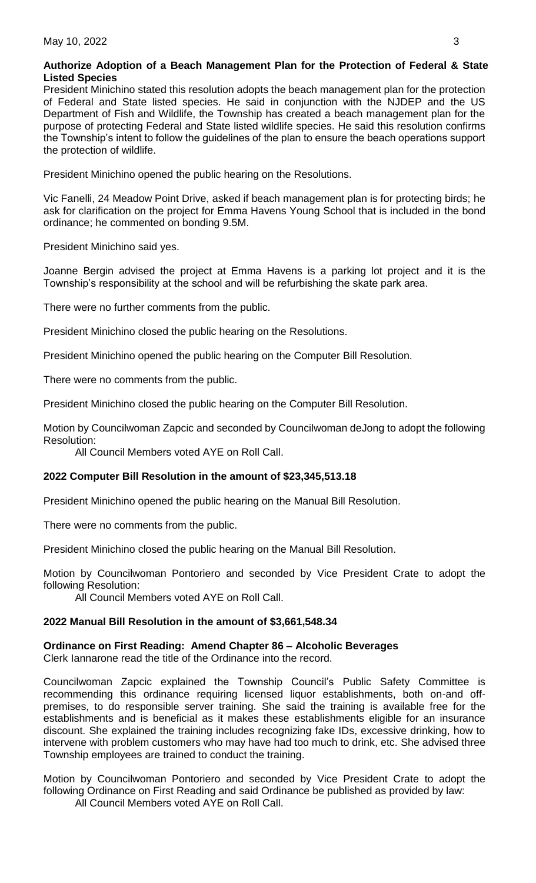## **Authorize Adoption of a Beach Management Plan for the Protection of Federal & State Listed Species**

President Minichino stated this resolution adopts the beach management plan for the protection of Federal and State listed species. He said in conjunction with the NJDEP and the US Department of Fish and Wildlife, the Township has created a beach management plan for the purpose of protecting Federal and State listed wildlife species. He said this resolution confirms the Township's intent to follow the guidelines of the plan to ensure the beach operations support the protection of wildlife.

President Minichino opened the public hearing on the Resolutions.

Vic Fanelli, 24 Meadow Point Drive, asked if beach management plan is for protecting birds; he ask for clarification on the project for Emma Havens Young School that is included in the bond ordinance; he commented on bonding 9.5M.

President Minichino said yes.

Joanne Bergin advised the project at Emma Havens is a parking lot project and it is the Township's responsibility at the school and will be refurbishing the skate park area.

There were no further comments from the public.

President Minichino closed the public hearing on the Resolutions.

President Minichino opened the public hearing on the Computer Bill Resolution.

There were no comments from the public.

President Minichino closed the public hearing on the Computer Bill Resolution.

Motion by Councilwoman Zapcic and seconded by Councilwoman deJong to adopt the following Resolution:

All Council Members voted AYE on Roll Call.

## **2022 Computer Bill Resolution in the amount of \$23,345,513.18**

President Minichino opened the public hearing on the Manual Bill Resolution.

There were no comments from the public.

President Minichino closed the public hearing on the Manual Bill Resolution.

Motion by Councilwoman Pontoriero and seconded by Vice President Crate to adopt the following Resolution:

All Council Members voted AYE on Roll Call.

## **2022 Manual Bill Resolution in the amount of \$3,661,548.34**

# **Ordinance on First Reading: Amend Chapter 86 – Alcoholic Beverages**

Clerk Iannarone read the title of the Ordinance into the record.

Councilwoman Zapcic explained the Township Council's Public Safety Committee is recommending this ordinance requiring licensed liquor establishments, both on-and offpremises, to do responsible server training. She said the training is available free for the establishments and is beneficial as it makes these establishments eligible for an insurance discount. She explained the training includes recognizing fake IDs, excessive drinking, how to intervene with problem customers who may have had too much to drink, etc. She advised three Township employees are trained to conduct the training.

Motion by Councilwoman Pontoriero and seconded by Vice President Crate to adopt the following Ordinance on First Reading and said Ordinance be published as provided by law:

All Council Members voted AYE on Roll Call.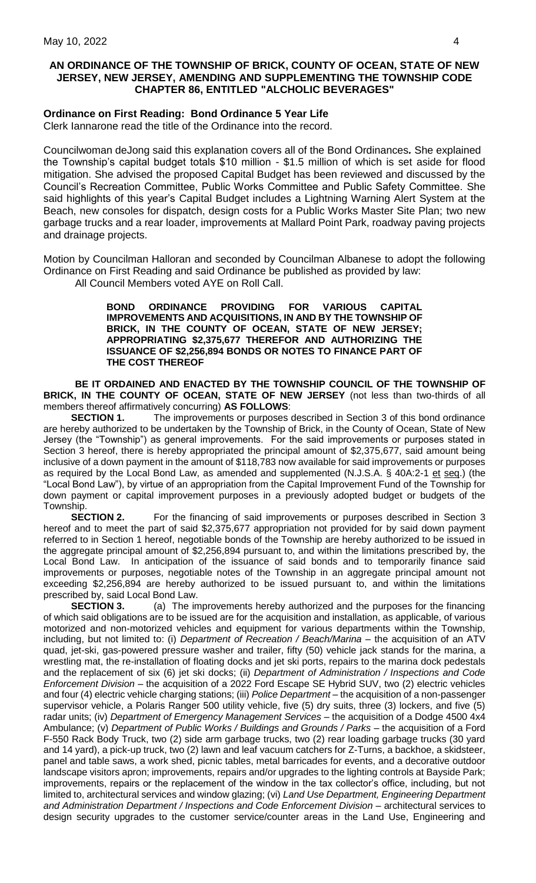## **AN ORDINANCE OF THE TOWNSHIP OF BRICK, COUNTY OF OCEAN, STATE OF NEW JERSEY, NEW JERSEY, AMENDING AND SUPPLEMENTING THE TOWNSHIP CODE CHAPTER 86, ENTITLED "ALCHOLIC BEVERAGES"**

# **Ordinance on First Reading: Bond Ordinance 5 Year Life**

Clerk Iannarone read the title of the Ordinance into the record.

Councilwoman deJong said this explanation covers all of the Bond Ordinances*.* She explained the Township's capital budget totals \$10 million - \$1.5 million of which is set aside for flood mitigation. She advised the proposed Capital Budget has been reviewed and discussed by the Council's Recreation Committee, Public Works Committee and Public Safety Committee. She said highlights of this year's Capital Budget includes a Lightning Warning Alert System at the Beach, new consoles for dispatch, design costs for a Public Works Master Site Plan; two new garbage trucks and a rear loader, improvements at Mallard Point Park, roadway paving projects and drainage projects.

Motion by Councilman Halloran and seconded by Councilman Albanese to adopt the following Ordinance on First Reading and said Ordinance be published as provided by law: All Council Members voted AYE on Roll Call.

**BOND ORDINANCE PROVIDING FOR VARIOUS CAPITAL** 

**IMPROVEMENTS AND ACQUISITIONS, IN AND BY THE TOWNSHIP OF BRICK, IN THE COUNTY OF OCEAN, STATE OF NEW JERSEY; APPROPRIATING \$2,375,677 THEREFOR AND AUTHORIZING THE ISSUANCE OF \$2,256,894 BONDS OR NOTES TO FINANCE PART OF THE COST THEREOF**

**BE IT ORDAINED AND ENACTED BY THE TOWNSHIP COUNCIL OF THE TOWNSHIP OF BRICK, IN THE COUNTY OF OCEAN, STATE OF NEW JERSEY** (not less than two-thirds of all members thereof affirmatively concurring) **AS FOLLOWS**:

**SECTION 1.** The improvements or purposes described in Section 3 of this bond ordinance are hereby authorized to be undertaken by the Township of Brick, in the County of Ocean, State of New Jersey (the "Township") as general improvements. For the said improvements or purposes stated in Section 3 hereof, there is hereby appropriated the principal amount of \$2,375,677, said amount being inclusive of a down payment in the amount of \$118,783 now available for said improvements or purposes as required by the Local Bond Law, as amended and supplemented (N.J.S.A. § 40A:2-1 et seq.) (the "Local Bond Law"), by virtue of an appropriation from the Capital Improvement Fund of the Township for down payment or capital improvement purposes in a previously adopted budget or budgets of the Township.

**SECTION 2.** For the financing of said improvements or purposes described in Section 3 hereof and to meet the part of said \$2,375,677 appropriation not provided for by said down payment referred to in Section 1 hereof, negotiable bonds of the Township are hereby authorized to be issued in the aggregate principal amount of \$2,256,894 pursuant to, and within the limitations prescribed by, the Local Bond Law. In anticipation of the issuance of said bonds and to temporarily finance said improvements or purposes, negotiable notes of the Township in an aggregate principal amount not exceeding \$2,256,894 are hereby authorized to be issued pursuant to, and within the limitations prescribed by, said Local Bond Law.

**SECTION 3.** (a) The improvements hereby authorized and the purposes for the financing of which said obligations are to be issued are for the acquisition and installation, as applicable, of various motorized and non-motorized vehicles and equipment for various departments within the Township, including, but not limited to: (i) *Department of Recreation / Beach/Marina* – the acquisition of an ATV quad, jet-ski, gas-powered pressure washer and trailer, fifty (50) vehicle jack stands for the marina, a wrestling mat, the re-installation of floating docks and jet ski ports, repairs to the marina dock pedestals and the replacement of six (6) jet ski docks; (ii) *Department of Administration / Inspections and Code Enforcement Division* – the acquisition of a 2022 Ford Escape SE Hybrid SUV, two (2) electric vehicles and four (4) electric vehicle charging stations; (iii) *Police Department* – the acquisition of a non-passenger supervisor vehicle, a Polaris Ranger 500 utility vehicle, five (5) dry suits, three (3) lockers, and five (5) radar units; (iv) *Department of Emergency Management Services* – the acquisition of a Dodge 4500 4x4 Ambulance; (v) *Department of Public Works / Buildings and Grounds / Parks - the acquisition of a Ford* F-550 Rack Body Truck, two (2) side arm garbage trucks, two (2) rear loading garbage trucks (30 yard and 14 yard), a pick-up truck, two (2) lawn and leaf vacuum catchers for Z-Turns, a backhoe, a skidsteer, panel and table saws, a work shed, picnic tables, metal barricades for events, and a decorative outdoor landscape visitors apron; improvements, repairs and/or upgrades to the lighting controls at Bayside Park; improvements, repairs or the replacement of the window in the tax collector's office, including, but not limited to, architectural services and window glazing; (vi) *Land Use Department, Engineering Department and Administration Department / Inspections and Code Enforcement Division* – architectural services to design security upgrades to the customer service/counter areas in the Land Use, Engineering and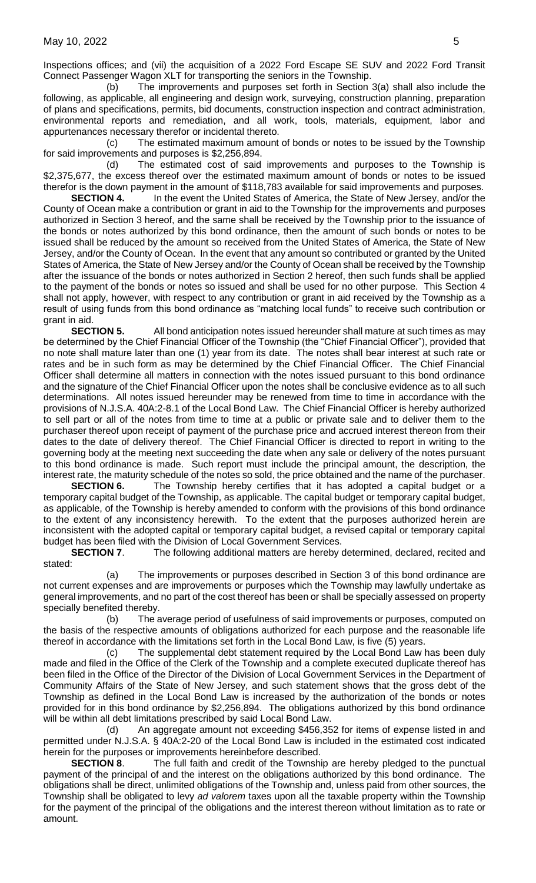Inspections offices; and (vii) the acquisition of a 2022 Ford Escape SE SUV and 2022 Ford Transit Connect Passenger Wagon XLT for transporting the seniors in the Township.

(b) The improvements and purposes set forth in Section 3(a) shall also include the following, as applicable, all engineering and design work, surveying, construction planning, preparation of plans and specifications, permits, bid documents, construction inspection and contract administration, environmental reports and remediation, and all work, tools, materials, equipment, labor and appurtenances necessary therefor or incidental thereto.

(c) The estimated maximum amount of bonds or notes to be issued by the Township for said improvements and purposes is \$2,256,894.

(d) The estimated cost of said improvements and purposes to the Township is \$2,375,677, the excess thereof over the estimated maximum amount of bonds or notes to be issued therefor is the down payment in the amount of \$118,783 available for said improvements and purposes.

**SECTION 4.** In the event the United States of America, the State of New Jersey, and/or the County of Ocean make a contribution or grant in aid to the Township for the improvements and purposes authorized in Section 3 hereof, and the same shall be received by the Township prior to the issuance of the bonds or notes authorized by this bond ordinance, then the amount of such bonds or notes to be issued shall be reduced by the amount so received from the United States of America, the State of New Jersey, and/or the County of Ocean. In the event that any amount so contributed or granted by the United States of America, the State of New Jersey and/or the County of Ocean shall be received by the Township after the issuance of the bonds or notes authorized in Section 2 hereof, then such funds shall be applied to the payment of the bonds or notes so issued and shall be used for no other purpose. This Section 4 shall not apply, however, with respect to any contribution or grant in aid received by the Township as a result of using funds from this bond ordinance as "matching local funds" to receive such contribution or grant in aid.

**SECTION 5.** All bond anticipation notes issued hereunder shall mature at such times as may be determined by the Chief Financial Officer of the Township (the "Chief Financial Officer"), provided that no note shall mature later than one (1) year from its date. The notes shall bear interest at such rate or rates and be in such form as may be determined by the Chief Financial Officer. The Chief Financial Officer shall determine all matters in connection with the notes issued pursuant to this bond ordinance and the signature of the Chief Financial Officer upon the notes shall be conclusive evidence as to all such determinations. All notes issued hereunder may be renewed from time to time in accordance with the provisions of N.J.S.A. 40A:2-8.1 of the Local Bond Law. The Chief Financial Officer is hereby authorized to sell part or all of the notes from time to time at a public or private sale and to deliver them to the purchaser thereof upon receipt of payment of the purchase price and accrued interest thereon from their dates to the date of delivery thereof. The Chief Financial Officer is directed to report in writing to the governing body at the meeting next succeeding the date when any sale or delivery of the notes pursuant to this bond ordinance is made. Such report must include the principal amount, the description, the interest rate, the maturity schedule of the notes so sold, the price obtained and the name of the purchaser.

**SECTION 6.** The Township hereby certifies that it has adopted a capital budget or a temporary capital budget of the Township, as applicable. The capital budget or temporary capital budget, as applicable, of the Township is hereby amended to conform with the provisions of this bond ordinance to the extent of any inconsistency herewith. To the extent that the purposes authorized herein are inconsistent with the adopted capital or temporary capital budget, a revised capital or temporary capital budget has been filed with the Division of Local Government Services.

**SECTION 7.** The following additional matters are hereby determined, declared, recited and stated:

(a) The improvements or purposes described in Section 3 of this bond ordinance are not current expenses and are improvements or purposes which the Township may lawfully undertake as general improvements, and no part of the cost thereof has been or shall be specially assessed on property specially benefited thereby.

(b) The average period of usefulness of said improvements or purposes, computed on the basis of the respective amounts of obligations authorized for each purpose and the reasonable life thereof in accordance with the limitations set forth in the Local Bond Law, is five (5) years.

The supplemental debt statement required by the Local Bond Law has been duly made and filed in the Office of the Clerk of the Township and a complete executed duplicate thereof has been filed in the Office of the Director of the Division of Local Government Services in the Department of Community Affairs of the State of New Jersey, and such statement shows that the gross debt of the Township as defined in the Local Bond Law is increased by the authorization of the bonds or notes provided for in this bond ordinance by \$2,256,894. The obligations authorized by this bond ordinance will be within all debt limitations prescribed by said Local Bond Law.

(d) An aggregate amount not exceeding \$456,352 for items of expense listed in and permitted under N.J.S.A. § 40A:2-20 of the Local Bond Law is included in the estimated cost indicated herein for the purposes or improvements hereinbefore described.

**SECTION 8.** The full faith and credit of the Township are hereby pledged to the punctual payment of the principal of and the interest on the obligations authorized by this bond ordinance. The obligations shall be direct, unlimited obligations of the Township and, unless paid from other sources, the Township shall be obligated to levy *ad valorem* taxes upon all the taxable property within the Township for the payment of the principal of the obligations and the interest thereon without limitation as to rate or amount.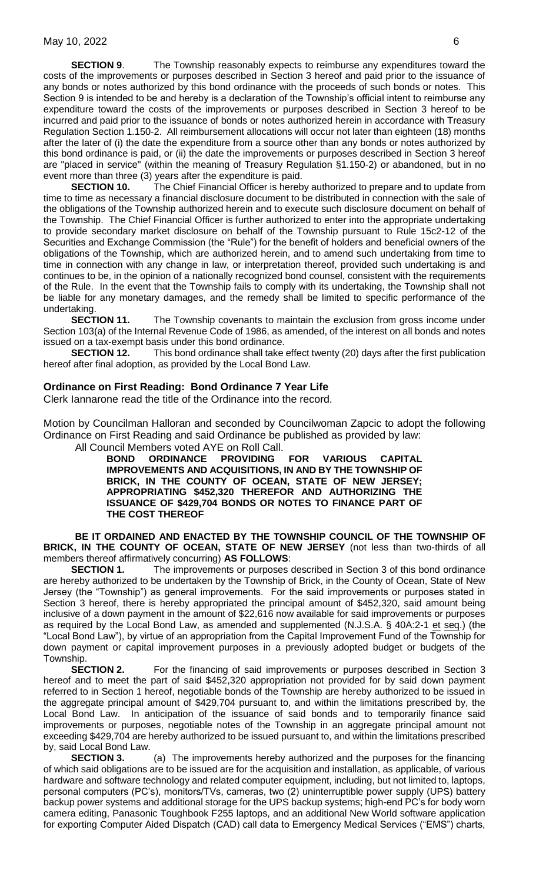**SECTION 9.** The Township reasonably expects to reimburse any expenditures toward the costs of the improvements or purposes described in Section 3 hereof and paid prior to the issuance of any bonds or notes authorized by this bond ordinance with the proceeds of such bonds or notes. This Section 9 is intended to be and hereby is a declaration of the Township's official intent to reimburse any expenditure toward the costs of the improvements or purposes described in Section 3 hereof to be incurred and paid prior to the issuance of bonds or notes authorized herein in accordance with Treasury Regulation Section 1.150-2. All reimbursement allocations will occur not later than eighteen (18) months after the later of (i) the date the expenditure from a source other than any bonds or notes authorized by this bond ordinance is paid, or (ii) the date the improvements or purposes described in Section 3 hereof are "placed in service" (within the meaning of Treasury Regulation §1.150-2) or abandoned, but in no event more than three (3) years after the expenditure is paid.

**SECTION 10.** The Chief Financial Officer is hereby authorized to prepare and to update from time to time as necessary a financial disclosure document to be distributed in connection with the sale of the obligations of the Township authorized herein and to execute such disclosure document on behalf of the Township. The Chief Financial Officer is further authorized to enter into the appropriate undertaking to provide secondary market disclosure on behalf of the Township pursuant to Rule 15c2-12 of the Securities and Exchange Commission (the "Rule") for the benefit of holders and beneficial owners of the obligations of the Township, which are authorized herein, and to amend such undertaking from time to time in connection with any change in law, or interpretation thereof, provided such undertaking is and continues to be, in the opinion of a nationally recognized bond counsel, consistent with the requirements of the Rule. In the event that the Township fails to comply with its undertaking, the Township shall not be liable for any monetary damages, and the remedy shall be limited to specific performance of the undertaking.

**SECTION 11.** The Township covenants to maintain the exclusion from gross income under Section 103(a) of the Internal Revenue Code of 1986, as amended, of the interest on all bonds and notes issued on a tax-exempt basis under this bond ordinance.

**SECTION 12.** This bond ordinance shall take effect twenty (20) days after the first publication hereof after final adoption, as provided by the Local Bond Law.

#### **Ordinance on First Reading: Bond Ordinance 7 Year Life**

Clerk Iannarone read the title of the Ordinance into the record.

Motion by Councilman Halloran and seconded by Councilwoman Zapcic to adopt the following Ordinance on First Reading and said Ordinance be published as provided by law:

All Council Members voted AYE on Roll Call.

**BOND ORDINANCE PROVIDING FOR VARIOUS CAPITAL IMPROVEMENTS AND ACQUISITIONS, IN AND BY THE TOWNSHIP OF BRICK, IN THE COUNTY OF OCEAN, STATE OF NEW JERSEY; APPROPRIATING \$452,320 THEREFOR AND AUTHORIZING THE ISSUANCE OF \$429,704 BONDS OR NOTES TO FINANCE PART OF THE COST THEREOF**

**BE IT ORDAINED AND ENACTED BY THE TOWNSHIP COUNCIL OF THE TOWNSHIP OF BRICK, IN THE COUNTY OF OCEAN, STATE OF NEW JERSEY** (not less than two-thirds of all members thereof affirmatively concurring) **AS FOLLOWS**:

**SECTION 1.** The improvements or purposes described in Section 3 of this bond ordinance are hereby authorized to be undertaken by the Township of Brick, in the County of Ocean, State of New Jersey (the "Township") as general improvements. For the said improvements or purposes stated in Section 3 hereof, there is hereby appropriated the principal amount of \$452,320, said amount being inclusive of a down payment in the amount of \$22,616 now available for said improvements or purposes as required by the Local Bond Law, as amended and supplemented (N.J.S.A. § 40A:2-1 et seq.) (the "Local Bond Law"), by virtue of an appropriation from the Capital Improvement Fund of the Township for down payment or capital improvement purposes in a previously adopted budget or budgets of the Township.

**SECTION 2.** For the financing of said improvements or purposes described in Section 3 hereof and to meet the part of said \$452,320 appropriation not provided for by said down payment referred to in Section 1 hereof, negotiable bonds of the Township are hereby authorized to be issued in the aggregate principal amount of \$429,704 pursuant to, and within the limitations prescribed by, the Local Bond Law. In anticipation of the issuance of said bonds and to temporarily finance said improvements or purposes, negotiable notes of the Township in an aggregate principal amount not exceeding \$429,704 are hereby authorized to be issued pursuant to, and within the limitations prescribed by, said Local Bond Law.

**SECTION 3.** (a) The improvements hereby authorized and the purposes for the financing of which said obligations are to be issued are for the acquisition and installation, as applicable, of various hardware and software technology and related computer equipment, including, but not limited to, laptops, personal computers (PC's), monitors/TVs, cameras, two (2) uninterruptible power supply (UPS) battery backup power systems and additional storage for the UPS backup systems; high-end PC's for body worn camera editing, Panasonic Toughbook F255 laptops, and an additional New World software application for exporting Computer Aided Dispatch (CAD) call data to Emergency Medical Services ("EMS") charts,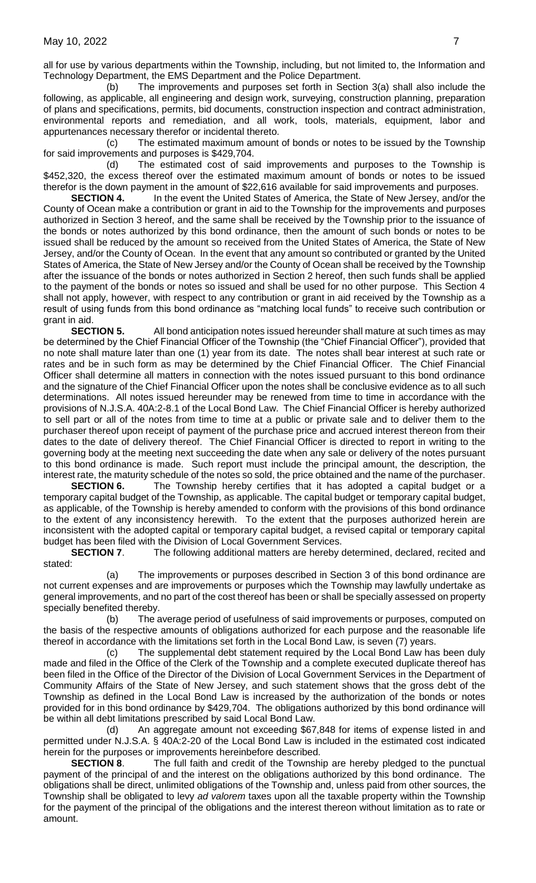all for use by various departments within the Township, including, but not limited to, the Information and Technology Department, the EMS Department and the Police Department.

(b) The improvements and purposes set forth in Section 3(a) shall also include the following, as applicable, all engineering and design work, surveying, construction planning, preparation of plans and specifications, permits, bid documents, construction inspection and contract administration, environmental reports and remediation, and all work, tools, materials, equipment, labor and appurtenances necessary therefor or incidental thereto.

(c) The estimated maximum amount of bonds or notes to be issued by the Township for said improvements and purposes is \$429,704.

(d) The estimated cost of said improvements and purposes to the Township is \$452,320, the excess thereof over the estimated maximum amount of bonds or notes to be issued therefor is the down payment in the amount of \$22,616 available for said improvements and purposes.

**SECTION 4.** In the event the United States of America, the State of New Jersey, and/or the County of Ocean make a contribution or grant in aid to the Township for the improvements and purposes authorized in Section 3 hereof, and the same shall be received by the Township prior to the issuance of the bonds or notes authorized by this bond ordinance, then the amount of such bonds or notes to be issued shall be reduced by the amount so received from the United States of America, the State of New Jersey, and/or the County of Ocean. In the event that any amount so contributed or granted by the United States of America, the State of New Jersey and/or the County of Ocean shall be received by the Township after the issuance of the bonds or notes authorized in Section 2 hereof, then such funds shall be applied to the payment of the bonds or notes so issued and shall be used for no other purpose. This Section 4 shall not apply, however, with respect to any contribution or grant in aid received by the Township as a result of using funds from this bond ordinance as "matching local funds" to receive such contribution or grant in aid.

**SECTION 5.** All bond anticipation notes issued hereunder shall mature at such times as may be determined by the Chief Financial Officer of the Township (the "Chief Financial Officer"), provided that no note shall mature later than one (1) year from its date. The notes shall bear interest at such rate or rates and be in such form as may be determined by the Chief Financial Officer. The Chief Financial Officer shall determine all matters in connection with the notes issued pursuant to this bond ordinance and the signature of the Chief Financial Officer upon the notes shall be conclusive evidence as to all such determinations. All notes issued hereunder may be renewed from time to time in accordance with the provisions of N.J.S.A. 40A:2-8.1 of the Local Bond Law. The Chief Financial Officer is hereby authorized to sell part or all of the notes from time to time at a public or private sale and to deliver them to the purchaser thereof upon receipt of payment of the purchase price and accrued interest thereon from their dates to the date of delivery thereof. The Chief Financial Officer is directed to report in writing to the governing body at the meeting next succeeding the date when any sale or delivery of the notes pursuant to this bond ordinance is made. Such report must include the principal amount, the description, the interest rate, the maturity schedule of the notes so sold, the price obtained and the name of the purchaser.

**SECTION 6.** The Township hereby certifies that it has adopted a capital budget or a temporary capital budget of the Township, as applicable. The capital budget or temporary capital budget, as applicable, of the Township is hereby amended to conform with the provisions of this bond ordinance to the extent of any inconsistency herewith. To the extent that the purposes authorized herein are inconsistent with the adopted capital or temporary capital budget, a revised capital or temporary capital budget has been filed with the Division of Local Government Services.

**SECTION 7.** The following additional matters are hereby determined, declared, recited and stated:

(a) The improvements or purposes described in Section 3 of this bond ordinance are not current expenses and are improvements or purposes which the Township may lawfully undertake as general improvements, and no part of the cost thereof has been or shall be specially assessed on property specially benefited thereby.

(b) The average period of usefulness of said improvements or purposes, computed on the basis of the respective amounts of obligations authorized for each purpose and the reasonable life thereof in accordance with the limitations set forth in the Local Bond Law, is seven (7) years.

The supplemental debt statement required by the Local Bond Law has been duly made and filed in the Office of the Clerk of the Township and a complete executed duplicate thereof has been filed in the Office of the Director of the Division of Local Government Services in the Department of Community Affairs of the State of New Jersey, and such statement shows that the gross debt of the Township as defined in the Local Bond Law is increased by the authorization of the bonds or notes provided for in this bond ordinance by \$429,704. The obligations authorized by this bond ordinance will be within all debt limitations prescribed by said Local Bond Law.

(d) An aggregate amount not exceeding \$67,848 for items of expense listed in and permitted under N.J.S.A. § 40A:2-20 of the Local Bond Law is included in the estimated cost indicated herein for the purposes or improvements hereinbefore described.

**SECTION 8.** The full faith and credit of the Township are hereby pledged to the punctual payment of the principal of and the interest on the obligations authorized by this bond ordinance. The obligations shall be direct, unlimited obligations of the Township and, unless paid from other sources, the Township shall be obligated to levy *ad valorem* taxes upon all the taxable property within the Township for the payment of the principal of the obligations and the interest thereon without limitation as to rate or amount.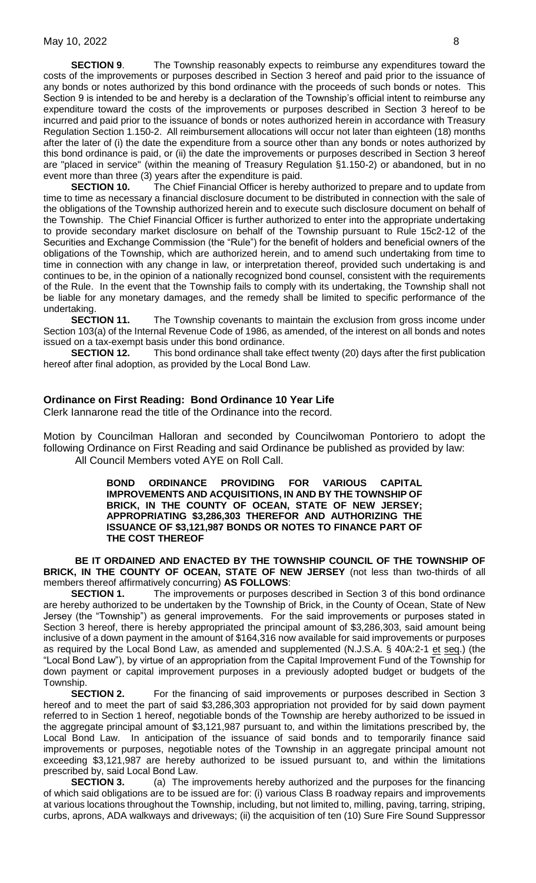**SECTION 9.** The Township reasonably expects to reimburse any expenditures toward the costs of the improvements or purposes described in Section 3 hereof and paid prior to the issuance of any bonds or notes authorized by this bond ordinance with the proceeds of such bonds or notes. This Section 9 is intended to be and hereby is a declaration of the Township's official intent to reimburse any expenditure toward the costs of the improvements or purposes described in Section 3 hereof to be incurred and paid prior to the issuance of bonds or notes authorized herein in accordance with Treasury Regulation Section 1.150-2. All reimbursement allocations will occur not later than eighteen (18) months after the later of (i) the date the expenditure from a source other than any bonds or notes authorized by this bond ordinance is paid, or (ii) the date the improvements or purposes described in Section 3 hereof are "placed in service" (within the meaning of Treasury Regulation §1.150-2) or abandoned, but in no event more than three (3) years after the expenditure is paid.

**SECTION 10.** The Chief Financial Officer is hereby authorized to prepare and to update from time to time as necessary a financial disclosure document to be distributed in connection with the sale of the obligations of the Township authorized herein and to execute such disclosure document on behalf of the Township. The Chief Financial Officer is further authorized to enter into the appropriate undertaking to provide secondary market disclosure on behalf of the Township pursuant to Rule 15c2-12 of the Securities and Exchange Commission (the "Rule") for the benefit of holders and beneficial owners of the obligations of the Township, which are authorized herein, and to amend such undertaking from time to time in connection with any change in law, or interpretation thereof, provided such undertaking is and continues to be, in the opinion of a nationally recognized bond counsel, consistent with the requirements of the Rule. In the event that the Township fails to comply with its undertaking, the Township shall not be liable for any monetary damages, and the remedy shall be limited to specific performance of the undertaking.

**SECTION 11.** The Township covenants to maintain the exclusion from gross income under Section 103(a) of the Internal Revenue Code of 1986, as amended, of the interest on all bonds and notes issued on a tax-exempt basis under this bond ordinance.

**SECTION 12.** This bond ordinance shall take effect twenty (20) days after the first publication hereof after final adoption, as provided by the Local Bond Law.

#### **Ordinance on First Reading: Bond Ordinance 10 Year Life**

Clerk Iannarone read the title of the Ordinance into the record.

Motion by Councilman Halloran and seconded by Councilwoman Pontoriero to adopt the following Ordinance on First Reading and said Ordinance be published as provided by law: All Council Members voted AYE on Roll Call.

> **BOND ORDINANCE PROVIDING FOR VARIOUS CAPITAL IMPROVEMENTS AND ACQUISITIONS, IN AND BY THE TOWNSHIP OF BRICK, IN THE COUNTY OF OCEAN, STATE OF NEW JERSEY; APPROPRIATING \$3,286,303 THEREFOR AND AUTHORIZING THE ISSUANCE OF \$3,121,987 BONDS OR NOTES TO FINANCE PART OF THE COST THEREOF**

**BE IT ORDAINED AND ENACTED BY THE TOWNSHIP COUNCIL OF THE TOWNSHIP OF BRICK, IN THE COUNTY OF OCEAN, STATE OF NEW JERSEY** (not less than two-thirds of all members thereof affirmatively concurring) **AS FOLLOWS**:

**SECTION 1.** The improvements or purposes described in Section 3 of this bond ordinance are hereby authorized to be undertaken by the Township of Brick, in the County of Ocean, State of New Jersey (the "Township") as general improvements. For the said improvements or purposes stated in Section 3 hereof, there is hereby appropriated the principal amount of \$3,286,303, said amount being inclusive of a down payment in the amount of \$164,316 now available for said improvements or purposes as required by the Local Bond Law, as amended and supplemented (N.J.S.A. § 40A:2-1 et seq.) (the "Local Bond Law"), by virtue of an appropriation from the Capital Improvement Fund of the Township for down payment or capital improvement purposes in a previously adopted budget or budgets of the Township.

**SECTION 2.** For the financing of said improvements or purposes described in Section 3 hereof and to meet the part of said \$3,286,303 appropriation not provided for by said down payment referred to in Section 1 hereof, negotiable bonds of the Township are hereby authorized to be issued in the aggregate principal amount of \$3,121,987 pursuant to, and within the limitations prescribed by, the Local Bond Law. In anticipation of the issuance of said bonds and to temporarily finance said improvements or purposes, negotiable notes of the Township in an aggregate principal amount not exceeding \$3,121,987 are hereby authorized to be issued pursuant to, and within the limitations prescribed by, said Local Bond Law.

**SECTION 3.** (a) The improvements hereby authorized and the purposes for the financing of which said obligations are to be issued are for: (i) various Class B roadway repairs and improvements at various locations throughout the Township, including, but not limited to, milling, paving, tarring, striping, curbs, aprons, ADA walkways and driveways; (ii) the acquisition of ten (10) Sure Fire Sound Suppressor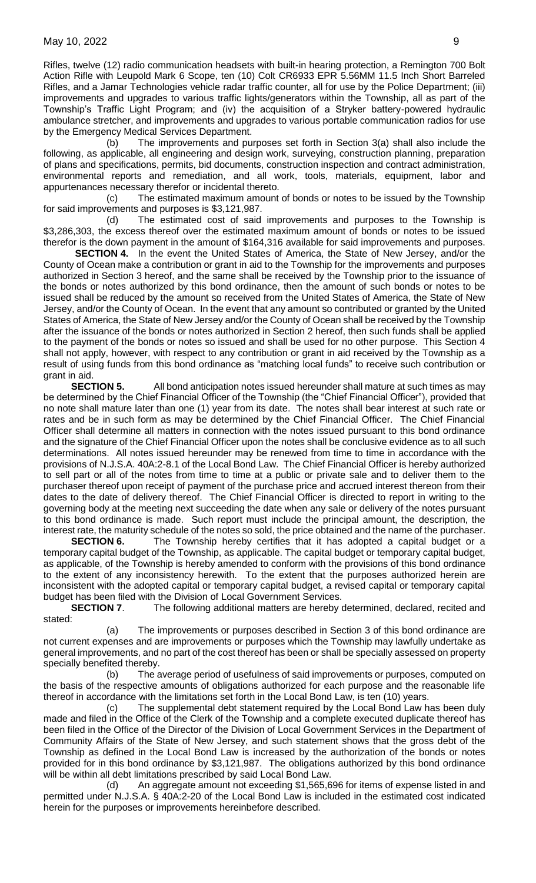Rifles, twelve (12) radio communication headsets with built-in hearing protection, a Remington 700 Bolt Action Rifle with Leupold Mark 6 Scope, ten (10) Colt CR6933 EPR 5.56MM 11.5 Inch Short Barreled Rifles, and a Jamar Technologies vehicle radar traffic counter, all for use by the Police Department; (iii) improvements and upgrades to various traffic lights/generators within the Township, all as part of the Township's Traffic Light Program; and (iv) the acquisition of a Stryker battery-powered hydraulic ambulance stretcher, and improvements and upgrades to various portable communication radios for use by the Emergency Medical Services Department.

(b) The improvements and purposes set forth in Section 3(a) shall also include the following, as applicable, all engineering and design work, surveying, construction planning, preparation of plans and specifications, permits, bid documents, construction inspection and contract administration, environmental reports and remediation, and all work, tools, materials, equipment, labor and appurtenances necessary therefor or incidental thereto.

(c) The estimated maximum amount of bonds or notes to be issued by the Township for said improvements and purposes is \$3,121,987.

(d) The estimated cost of said improvements and purposes to the Township is \$3,286,303, the excess thereof over the estimated maximum amount of bonds or notes to be issued therefor is the down payment in the amount of \$164,316 available for said improvements and purposes.

**SECTION 4.** In the event the United States of America, the State of New Jersey, and/or the County of Ocean make a contribution or grant in aid to the Township for the improvements and purposes authorized in Section 3 hereof, and the same shall be received by the Township prior to the issuance of the bonds or notes authorized by this bond ordinance, then the amount of such bonds or notes to be issued shall be reduced by the amount so received from the United States of America, the State of New Jersey, and/or the County of Ocean. In the event that any amount so contributed or granted by the United States of America, the State of New Jersey and/or the County of Ocean shall be received by the Township after the issuance of the bonds or notes authorized in Section 2 hereof, then such funds shall be applied to the payment of the bonds or notes so issued and shall be used for no other purpose. This Section 4 shall not apply, however, with respect to any contribution or grant in aid received by the Township as a result of using funds from this bond ordinance as "matching local funds" to receive such contribution or grant in aid.

**SECTION 5.** All bond anticipation notes issued hereunder shall mature at such times as may be determined by the Chief Financial Officer of the Township (the "Chief Financial Officer"), provided that no note shall mature later than one (1) year from its date. The notes shall bear interest at such rate or rates and be in such form as may be determined by the Chief Financial Officer. The Chief Financial Officer shall determine all matters in connection with the notes issued pursuant to this bond ordinance and the signature of the Chief Financial Officer upon the notes shall be conclusive evidence as to all such determinations. All notes issued hereunder may be renewed from time to time in accordance with the provisions of N.J.S.A. 40A:2-8.1 of the Local Bond Law. The Chief Financial Officer is hereby authorized to sell part or all of the notes from time to time at a public or private sale and to deliver them to the purchaser thereof upon receipt of payment of the purchase price and accrued interest thereon from their dates to the date of delivery thereof. The Chief Financial Officer is directed to report in writing to the governing body at the meeting next succeeding the date when any sale or delivery of the notes pursuant to this bond ordinance is made. Such report must include the principal amount, the description, the interest rate, the maturity schedule of the notes so sold, the price obtained and the name of the purchaser.

**SECTION 6.** The Township hereby certifies that it has adopted a capital budget or a temporary capital budget of the Township, as applicable. The capital budget or temporary capital budget, as applicable, of the Township is hereby amended to conform with the provisions of this bond ordinance to the extent of any inconsistency herewith. To the extent that the purposes authorized herein are inconsistent with the adopted capital or temporary capital budget, a revised capital or temporary capital budget has been filed with the Division of Local Government Services.

**SECTION 7.** The following additional matters are hereby determined, declared, recited and stated:

(a) The improvements or purposes described in Section 3 of this bond ordinance are not current expenses and are improvements or purposes which the Township may lawfully undertake as general improvements, and no part of the cost thereof has been or shall be specially assessed on property specially benefited thereby.

(b) The average period of usefulness of said improvements or purposes, computed on the basis of the respective amounts of obligations authorized for each purpose and the reasonable life thereof in accordance with the limitations set forth in the Local Bond Law, is ten (10) years.

(c) The supplemental debt statement required by the Local Bond Law has been duly made and filed in the Office of the Clerk of the Township and a complete executed duplicate thereof has been filed in the Office of the Director of the Division of Local Government Services in the Department of Community Affairs of the State of New Jersey, and such statement shows that the gross debt of the Township as defined in the Local Bond Law is increased by the authorization of the bonds or notes provided for in this bond ordinance by \$3,121,987. The obligations authorized by this bond ordinance will be within all debt limitations prescribed by said Local Bond Law.

(d) An aggregate amount not exceeding \$1,565,696 for items of expense listed in and permitted under N.J.S.A. § 40A:2-20 of the Local Bond Law is included in the estimated cost indicated herein for the purposes or improvements hereinbefore described.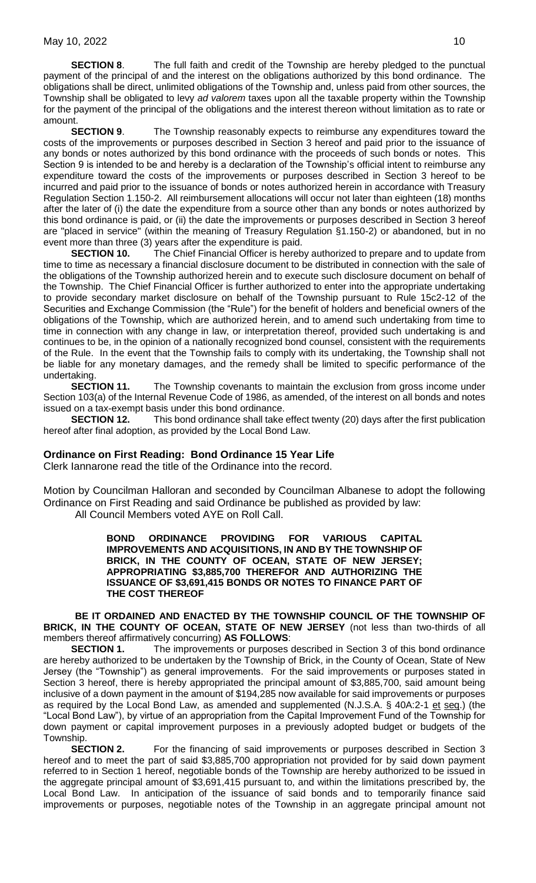**SECTION 8.** The full faith and credit of the Township are hereby pledged to the punctual payment of the principal of and the interest on the obligations authorized by this bond ordinance. The obligations shall be direct, unlimited obligations of the Township and, unless paid from other sources, the Township shall be obligated to levy *ad valorem* taxes upon all the taxable property within the Township for the payment of the principal of the obligations and the interest thereon without limitation as to rate or amount.

**SECTION 9.** The Township reasonably expects to reimburse any expenditures toward the costs of the improvements or purposes described in Section 3 hereof and paid prior to the issuance of any bonds or notes authorized by this bond ordinance with the proceeds of such bonds or notes. This Section 9 is intended to be and hereby is a declaration of the Township's official intent to reimburse any expenditure toward the costs of the improvements or purposes described in Section 3 hereof to be incurred and paid prior to the issuance of bonds or notes authorized herein in accordance with Treasury Regulation Section 1.150-2. All reimbursement allocations will occur not later than eighteen (18) months after the later of (i) the date the expenditure from a source other than any bonds or notes authorized by this bond ordinance is paid, or (ii) the date the improvements or purposes described in Section 3 hereof are "placed in service" (within the meaning of Treasury Regulation §1.150-2) or abandoned, but in no event more than three (3) years after the expenditure is paid.

**SECTION 10.** The Chief Financial Officer is hereby authorized to prepare and to update from time to time as necessary a financial disclosure document to be distributed in connection with the sale of the obligations of the Township authorized herein and to execute such disclosure document on behalf of the Township. The Chief Financial Officer is further authorized to enter into the appropriate undertaking to provide secondary market disclosure on behalf of the Township pursuant to Rule 15c2-12 of the Securities and Exchange Commission (the "Rule") for the benefit of holders and beneficial owners of the obligations of the Township, which are authorized herein, and to amend such undertaking from time to time in connection with any change in law, or interpretation thereof, provided such undertaking is and continues to be, in the opinion of a nationally recognized bond counsel, consistent with the requirements of the Rule. In the event that the Township fails to comply with its undertaking, the Township shall not be liable for any monetary damages, and the remedy shall be limited to specific performance of the undertaking.

**SECTION 11.** The Township covenants to maintain the exclusion from gross income under Section 103(a) of the Internal Revenue Code of 1986, as amended, of the interest on all bonds and notes issued on a tax-exempt basis under this bond ordinance.

**SECTION 12.** This bond ordinance shall take effect twenty (20) days after the first publication hereof after final adoption, as provided by the Local Bond Law.

## **Ordinance on First Reading: Bond Ordinance 15 Year Life**

Clerk Iannarone read the title of the Ordinance into the record.

Motion by Councilman Halloran and seconded by Councilman Albanese to adopt the following Ordinance on First Reading and said Ordinance be published as provided by law: All Council Members voted AYE on Roll Call.

> **BOND ORDINANCE PROVIDING FOR VARIOUS CAPITAL IMPROVEMENTS AND ACQUISITIONS, IN AND BY THE TOWNSHIP OF BRICK, IN THE COUNTY OF OCEAN, STATE OF NEW JERSEY; APPROPRIATING \$3,885,700 THEREFOR AND AUTHORIZING THE ISSUANCE OF \$3,691,415 BONDS OR NOTES TO FINANCE PART OF THE COST THEREOF**

**BE IT ORDAINED AND ENACTED BY THE TOWNSHIP COUNCIL OF THE TOWNSHIP OF BRICK, IN THE COUNTY OF OCEAN, STATE OF NEW JERSEY** (not less than two-thirds of all members thereof affirmatively concurring) **AS FOLLOWS**:

**SECTION 1.** The improvements or purposes described in Section 3 of this bond ordinance are hereby authorized to be undertaken by the Township of Brick, in the County of Ocean, State of New Jersey (the "Township") as general improvements. For the said improvements or purposes stated in Section 3 hereof, there is hereby appropriated the principal amount of \$3,885,700, said amount being inclusive of a down payment in the amount of \$194,285 now available for said improvements or purposes as required by the Local Bond Law, as amended and supplemented (N.J.S.A. § 40A:2-1 et seq.) (the "Local Bond Law"), by virtue of an appropriation from the Capital Improvement Fund of the Township for down payment or capital improvement purposes in a previously adopted budget or budgets of the Township.

**SECTION 2.** For the financing of said improvements or purposes described in Section 3 hereof and to meet the part of said \$3,885,700 appropriation not provided for by said down payment referred to in Section 1 hereof, negotiable bonds of the Township are hereby authorized to be issued in the aggregate principal amount of \$3,691,415 pursuant to, and within the limitations prescribed by, the Local Bond Law. In anticipation of the issuance of said bonds and to temporarily finance said improvements or purposes, negotiable notes of the Township in an aggregate principal amount not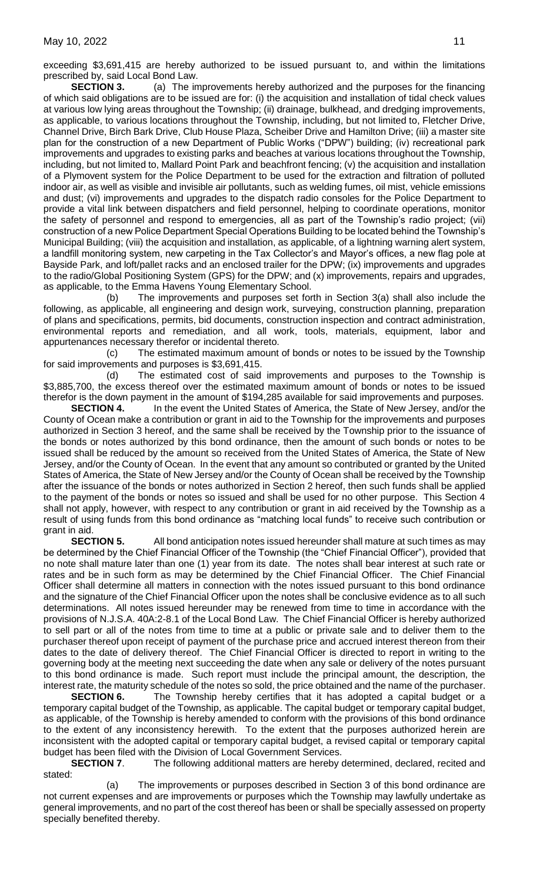exceeding \$3,691,415 are hereby authorized to be issued pursuant to, and within the limitations prescribed by, said Local Bond Law.

**SECTION 3.** (a) The improvements hereby authorized and the purposes for the financing of which said obligations are to be issued are for: (i) the acquisition and installation of tidal check values at various low lying areas throughout the Township; (ii) drainage, bulkhead, and dredging improvements, as applicable, to various locations throughout the Township, including, but not limited to, Fletcher Drive, Channel Drive, Birch Bark Drive, Club House Plaza, Scheiber Drive and Hamilton Drive; (iii) a master site plan for the construction of a new Department of Public Works ("DPW") building; (iv) recreational park improvements and upgrades to existing parks and beaches at various locations throughout the Township, including, but not limited to, Mallard Point Park and beachfront fencing; (v) the acquisition and installation of a Plymovent system for the Police Department to be used for the extraction and filtration of polluted indoor air, as well as visible and invisible air pollutants, such as welding fumes, oil mist, vehicle emissions and dust; (vi) improvements and upgrades to the dispatch radio consoles for the Police Department to provide a vital link between dispatchers and field personnel, helping to coordinate operations, monitor the safety of personnel and respond to emergencies, all as part of the Township's radio project; (vii) construction of a new Police Department Special Operations Building to be located behind the Township's Municipal Building; (viii) the acquisition and installation, as applicable, of a lightning warning alert system, a landfill monitoring system, new carpeting in the Tax Collector's and Mayor's offices, a new flag pole at Bayside Park, and loft/pallet racks and an enclosed trailer for the DPW; (ix) improvements and upgrades to the radio/Global Positioning System (GPS) for the DPW; and (x) improvements, repairs and upgrades, as applicable, to the Emma Havens Young Elementary School.

(b) The improvements and purposes set forth in Section 3(a) shall also include the following, as applicable, all engineering and design work, surveying, construction planning, preparation of plans and specifications, permits, bid documents, construction inspection and contract administration, environmental reports and remediation, and all work, tools, materials, equipment, labor and appurtenances necessary therefor or incidental thereto.

(c) The estimated maximum amount of bonds or notes to be issued by the Township for said improvements and purposes is \$3,691,415.

(d) The estimated cost of said improvements and purposes to the Township is \$3,885,700, the excess thereof over the estimated maximum amount of bonds or notes to be issued therefor is the down payment in the amount of \$194,285 available for said improvements and purposes.

**SECTION 4.** In the event the United States of America, the State of New Jersey, and/or the County of Ocean make a contribution or grant in aid to the Township for the improvements and purposes authorized in Section 3 hereof, and the same shall be received by the Township prior to the issuance of the bonds or notes authorized by this bond ordinance, then the amount of such bonds or notes to be issued shall be reduced by the amount so received from the United States of America, the State of New Jersey, and/or the County of Ocean. In the event that any amount so contributed or granted by the United States of America, the State of New Jersey and/or the County of Ocean shall be received by the Township after the issuance of the bonds or notes authorized in Section 2 hereof, then such funds shall be applied to the payment of the bonds or notes so issued and shall be used for no other purpose. This Section 4 shall not apply, however, with respect to any contribution or grant in aid received by the Township as a result of using funds from this bond ordinance as "matching local funds" to receive such contribution or grant in aid.

**SECTION 5.** All bond anticipation notes issued hereunder shall mature at such times as may be determined by the Chief Financial Officer of the Township (the "Chief Financial Officer"), provided that no note shall mature later than one (1) year from its date. The notes shall bear interest at such rate or rates and be in such form as may be determined by the Chief Financial Officer. The Chief Financial Officer shall determine all matters in connection with the notes issued pursuant to this bond ordinance and the signature of the Chief Financial Officer upon the notes shall be conclusive evidence as to all such determinations. All notes issued hereunder may be renewed from time to time in accordance with the provisions of N.J.S.A. 40A:2-8.1 of the Local Bond Law. The Chief Financial Officer is hereby authorized to sell part or all of the notes from time to time at a public or private sale and to deliver them to the purchaser thereof upon receipt of payment of the purchase price and accrued interest thereon from their dates to the date of delivery thereof. The Chief Financial Officer is directed to report in writing to the governing body at the meeting next succeeding the date when any sale or delivery of the notes pursuant to this bond ordinance is made. Such report must include the principal amount, the description, the interest rate, the maturity schedule of the notes so sold, the price obtained and the name of the purchaser.

**SECTION 6.** The Township hereby certifies that it has adopted a capital budget or a temporary capital budget of the Township, as applicable. The capital budget or temporary capital budget, as applicable, of the Township is hereby amended to conform with the provisions of this bond ordinance to the extent of any inconsistency herewith. To the extent that the purposes authorized herein are inconsistent with the adopted capital or temporary capital budget, a revised capital or temporary capital budget has been filed with the Division of Local Government Services.

**SECTION 7.** The following additional matters are hereby determined, declared, recited and stated:

(a) The improvements or purposes described in Section 3 of this bond ordinance are not current expenses and are improvements or purposes which the Township may lawfully undertake as general improvements, and no part of the cost thereof has been or shall be specially assessed on property specially benefited thereby.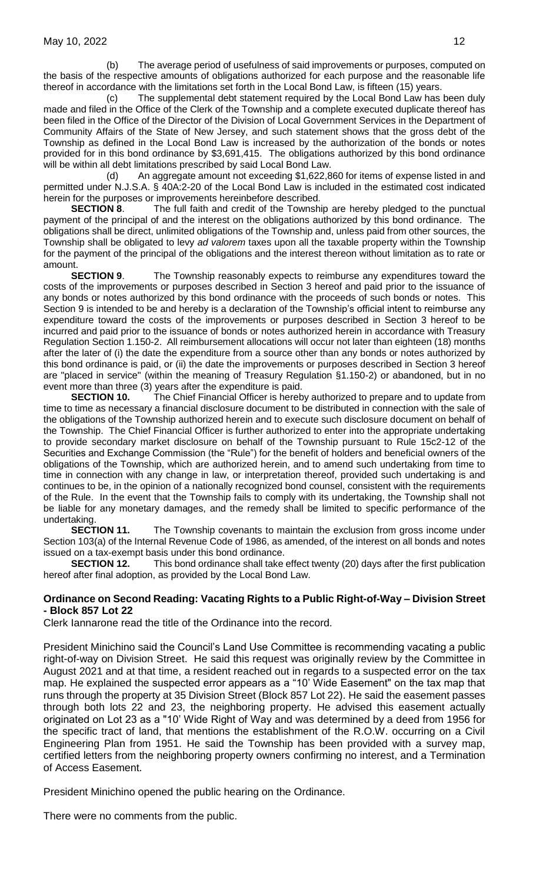(b) The average period of usefulness of said improvements or purposes, computed on the basis of the respective amounts of obligations authorized for each purpose and the reasonable life thereof in accordance with the limitations set forth in the Local Bond Law, is fifteen (15) years.

(c) The supplemental debt statement required by the Local Bond Law has been duly made and filed in the Office of the Clerk of the Township and a complete executed duplicate thereof has been filed in the Office of the Director of the Division of Local Government Services in the Department of Community Affairs of the State of New Jersey, and such statement shows that the gross debt of the Township as defined in the Local Bond Law is increased by the authorization of the bonds or notes provided for in this bond ordinance by \$3,691,415. The obligations authorized by this bond ordinance will be within all debt limitations prescribed by said Local Bond Law.

(d) An aggregate amount not exceeding \$1,622,860 for items of expense listed in and permitted under N.J.S.A. § 40A:2-20 of the Local Bond Law is included in the estimated cost indicated herein for the purposes or improvements hereinbefore described.

**SECTION 8.** The full faith and credit of the Township are hereby pledged to the punctual payment of the principal of and the interest on the obligations authorized by this bond ordinance. The obligations shall be direct, unlimited obligations of the Township and, unless paid from other sources, the Township shall be obligated to levy *ad valorem* taxes upon all the taxable property within the Township for the payment of the principal of the obligations and the interest thereon without limitation as to rate or amount.

**SECTION 9**. The Township reasonably expects to reimburse any expenditures toward the costs of the improvements or purposes described in Section 3 hereof and paid prior to the issuance of any bonds or notes authorized by this bond ordinance with the proceeds of such bonds or notes. This Section 9 is intended to be and hereby is a declaration of the Township's official intent to reimburse any expenditure toward the costs of the improvements or purposes described in Section 3 hereof to be incurred and paid prior to the issuance of bonds or notes authorized herein in accordance with Treasury Regulation Section 1.150-2. All reimbursement allocations will occur not later than eighteen (18) months after the later of (i) the date the expenditure from a source other than any bonds or notes authorized by this bond ordinance is paid, or (ii) the date the improvements or purposes described in Section 3 hereof are "placed in service" (within the meaning of Treasury Regulation §1.150-2) or abandoned, but in no event more than three (3) years after the expenditure is paid.

**SECTION 10.** The Chief Financial Officer is hereby authorized to prepare and to update from time to time as necessary a financial disclosure document to be distributed in connection with the sale of the obligations of the Township authorized herein and to execute such disclosure document on behalf of the Township. The Chief Financial Officer is further authorized to enter into the appropriate undertaking to provide secondary market disclosure on behalf of the Township pursuant to Rule 15c2-12 of the Securities and Exchange Commission (the "Rule") for the benefit of holders and beneficial owners of the obligations of the Township, which are authorized herein, and to amend such undertaking from time to time in connection with any change in law, or interpretation thereof, provided such undertaking is and continues to be, in the opinion of a nationally recognized bond counsel, consistent with the requirements of the Rule. In the event that the Township fails to comply with its undertaking, the Township shall not be liable for any monetary damages, and the remedy shall be limited to specific performance of the undertaking.

**SECTION 11.** The Township covenants to maintain the exclusion from gross income under Section 103(a) of the Internal Revenue Code of 1986, as amended, of the interest on all bonds and notes issued on a tax-exempt basis under this bond ordinance.

**SECTION 12.** This bond ordinance shall take effect twenty (20) days after the first publication hereof after final adoption, as provided by the Local Bond Law.

## **Ordinance on Second Reading: Vacating Rights to a Public Right-of-Way – Division Street - Block 857 Lot 22**

Clerk Iannarone read the title of the Ordinance into the record.

President Minichino said the Council's Land Use Committee is recommending vacating a public right-of-way on Division Street. He said this request was originally review by the Committee in August 2021 and at that time, a resident reached out in regards to a suspected error on the tax map. He explained the suspected error appears as a "10' Wide Easement" on the tax map that runs through the property at 35 Division Street (Block 857 Lot 22). He said the easement passes through both lots 22 and 23, the neighboring property. He advised this easement actually originated on Lot 23 as a "10' Wide Right of Way and was determined by a deed from 1956 for the specific tract of land, that mentions the establishment of the R.O.W. occurring on a Civil Engineering Plan from 1951. He said the Township has been provided with a survey map, certified letters from the neighboring property owners confirming no interest, and a Termination of Access Easement.

President Minichino opened the public hearing on the Ordinance.

There were no comments from the public.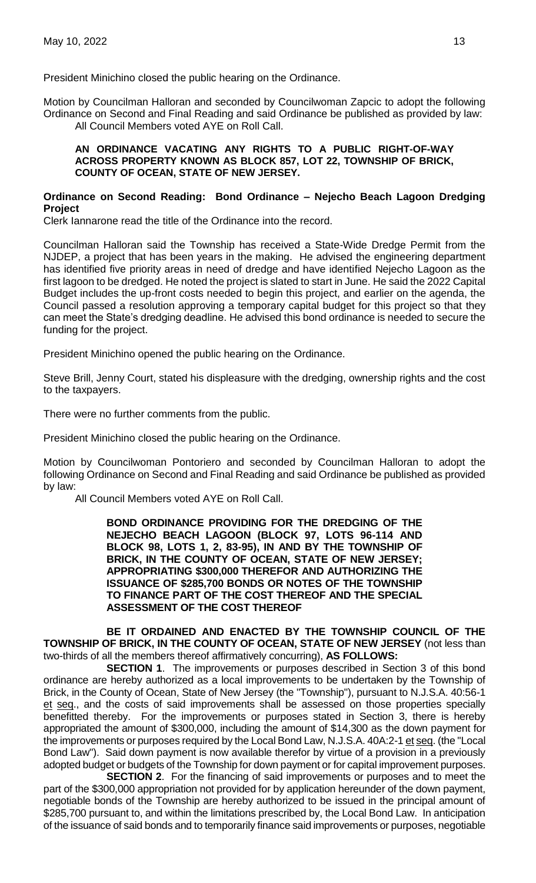President Minichino closed the public hearing on the Ordinance.

Motion by Councilman Halloran and seconded by Councilwoman Zapcic to adopt the following Ordinance on Second and Final Reading and said Ordinance be published as provided by law: All Council Members voted AYE on Roll Call.

#### **AN ORDINANCE VACATING ANY RIGHTS TO A PUBLIC RIGHT-OF-WAY ACROSS PROPERTY KNOWN AS BLOCK 857, LOT 22, TOWNSHIP OF BRICK, COUNTY OF OCEAN, STATE OF NEW JERSEY.**

## **Ordinance on Second Reading: Bond Ordinance – Nejecho Beach Lagoon Dredging Project**

Clerk Iannarone read the title of the Ordinance into the record.

Councilman Halloran said the Township has received a State-Wide Dredge Permit from the NJDEP, a project that has been years in the making. He advised the engineering department has identified five priority areas in need of dredge and have identified Nejecho Lagoon as the first lagoon to be dredged. He noted the project is slated to start in June. He said the 2022 Capital Budget includes the up-front costs needed to begin this project, and earlier on the agenda, the Council passed a resolution approving a temporary capital budget for this project so that they can meet the State's dredging deadline. He advised this bond ordinance is needed to secure the funding for the project.

President Minichino opened the public hearing on the Ordinance.

Steve Brill, Jenny Court, stated his displeasure with the dredging, ownership rights and the cost to the taxpayers.

There were no further comments from the public.

President Minichino closed the public hearing on the Ordinance.

Motion by Councilwoman Pontoriero and seconded by Councilman Halloran to adopt the following Ordinance on Second and Final Reading and said Ordinance be published as provided by law:

All Council Members voted AYE on Roll Call.

**BOND ORDINANCE PROVIDING FOR THE DREDGING OF THE NEJECHO BEACH LAGOON (BLOCK 97, LOTS 96-114 AND BLOCK 98, LOTS 1, 2, 83-95), IN AND BY THE TOWNSHIP OF BRICK, IN THE COUNTY OF OCEAN, STATE OF NEW JERSEY; APPROPRIATING \$300,000 THEREFOR AND AUTHORIZING THE ISSUANCE OF \$285,700 BONDS OR NOTES OF THE TOWNSHIP TO FINANCE PART OF THE COST THEREOF AND THE SPECIAL ASSESSMENT OF THE COST THEREOF**

**BE IT ORDAINED AND ENACTED BY THE TOWNSHIP COUNCIL OF THE TOWNSHIP OF BRICK, IN THE COUNTY OF OCEAN, STATE OF NEW JERSEY** (not less than two-thirds of all the members thereof affirmatively concurring), **AS FOLLOWS:**

**SECTION 1**. The improvements or purposes described in Section 3 of this bond ordinance are hereby authorized as a local improvements to be undertaken by the Township of Brick, in the County of Ocean, State of New Jersey (the "Township"), pursuant to N.J.S.A. 40:56-1 et seq., and the costs of said improvements shall be assessed on those properties specially benefitted thereby. For the improvements or purposes stated in Section 3, there is hereby appropriated the amount of \$300,000, including the amount of \$14,300 as the down payment for the improvements or purposes required by the Local Bond Law, N.J.S.A. 40A:2-1 et seq. (the "Local Bond Law"). Said down payment is now available therefor by virtue of a provision in a previously adopted budget or budgets of the Township for down payment or for capital improvement purposes.

**SECTION 2**. For the financing of said improvements or purposes and to meet the part of the \$300,000 appropriation not provided for by application hereunder of the down payment, negotiable bonds of the Township are hereby authorized to be issued in the principal amount of \$285,700 pursuant to, and within the limitations prescribed by, the Local Bond Law. In anticipation of the issuance of said bonds and to temporarily finance said improvements or purposes, negotiable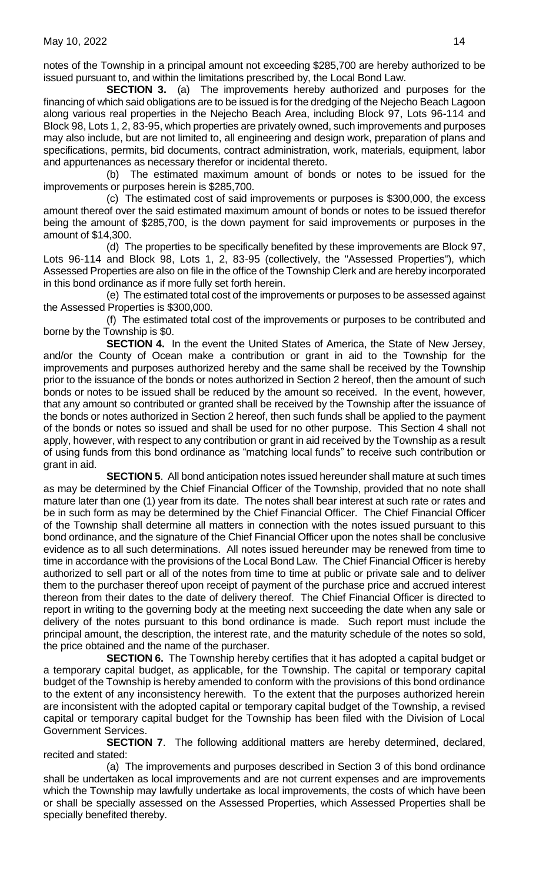notes of the Township in a principal amount not exceeding \$285,700 are hereby authorized to be issued pursuant to, and within the limitations prescribed by, the Local Bond Law.

**SECTION 3.** (a) The improvements hereby authorized and purposes for the financing of which said obligations are to be issued is for the dredging of the Nejecho Beach Lagoon along various real properties in the Nejecho Beach Area, including Block 97, Lots 96-114 and Block 98, Lots 1, 2, 83-95, which properties are privately owned, such improvements and purposes may also include, but are not limited to, all engineering and design work, preparation of plans and specifications, permits, bid documents, contract administration, work, materials, equipment, labor and appurtenances as necessary therefor or incidental thereto.

(b) The estimated maximum amount of bonds or notes to be issued for the improvements or purposes herein is \$285,700.

(c) The estimated cost of said improvements or purposes is \$300,000, the excess amount thereof over the said estimated maximum amount of bonds or notes to be issued therefor being the amount of \$285,700, is the down payment for said improvements or purposes in the amount of \$14,300.

(d) The properties to be specifically benefited by these improvements are Block 97, Lots 96-114 and Block 98, Lots 1, 2, 83-95 (collectively, the "Assessed Properties"), which Assessed Properties are also on file in the office of the Township Clerk and are hereby incorporated in this bond ordinance as if more fully set forth herein.

(e) The estimated total cost of the improvements or purposes to be assessed against the Assessed Properties is \$300,000.

(f) The estimated total cost of the improvements or purposes to be contributed and borne by the Township is \$0.

**SECTION 4.** In the event the United States of America, the State of New Jersey, and/or the County of Ocean make a contribution or grant in aid to the Township for the improvements and purposes authorized hereby and the same shall be received by the Township prior to the issuance of the bonds or notes authorized in Section 2 hereof, then the amount of such bonds or notes to be issued shall be reduced by the amount so received. In the event, however, that any amount so contributed or granted shall be received by the Township after the issuance of the bonds or notes authorized in Section 2 hereof, then such funds shall be applied to the payment of the bonds or notes so issued and shall be used for no other purpose. This Section 4 shall not apply, however, with respect to any contribution or grant in aid received by the Township as a result of using funds from this bond ordinance as "matching local funds" to receive such contribution or grant in aid.

**SECTION 5**. All bond anticipation notes issued hereunder shall mature at such times as may be determined by the Chief Financial Officer of the Township, provided that no note shall mature later than one (1) year from its date. The notes shall bear interest at such rate or rates and be in such form as may be determined by the Chief Financial Officer. The Chief Financial Officer of the Township shall determine all matters in connection with the notes issued pursuant to this bond ordinance, and the signature of the Chief Financial Officer upon the notes shall be conclusive evidence as to all such determinations. All notes issued hereunder may be renewed from time to time in accordance with the provisions of the Local Bond Law. The Chief Financial Officer is hereby authorized to sell part or all of the notes from time to time at public or private sale and to deliver them to the purchaser thereof upon receipt of payment of the purchase price and accrued interest thereon from their dates to the date of delivery thereof. The Chief Financial Officer is directed to report in writing to the governing body at the meeting next succeeding the date when any sale or delivery of the notes pursuant to this bond ordinance is made. Such report must include the principal amount, the description, the interest rate, and the maturity schedule of the notes so sold, the price obtained and the name of the purchaser.

**SECTION 6.** The Township hereby certifies that it has adopted a capital budget or a temporary capital budget, as applicable, for the Township. The capital or temporary capital budget of the Township is hereby amended to conform with the provisions of this bond ordinance to the extent of any inconsistency herewith. To the extent that the purposes authorized herein are inconsistent with the adopted capital or temporary capital budget of the Township, a revised capital or temporary capital budget for the Township has been filed with the Division of Local Government Services.

**SECTION 7**. The following additional matters are hereby determined, declared, recited and stated:

(a) The improvements and purposes described in Section 3 of this bond ordinance shall be undertaken as local improvements and are not current expenses and are improvements which the Township may lawfully undertake as local improvements, the costs of which have been or shall be specially assessed on the Assessed Properties, which Assessed Properties shall be specially benefited thereby.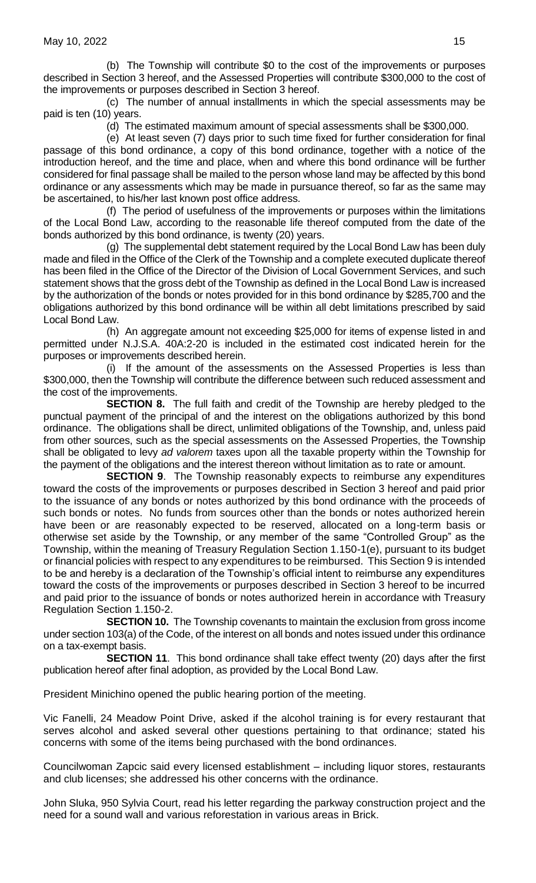(b) The Township will contribute \$0 to the cost of the improvements or purposes described in Section 3 hereof, and the Assessed Properties will contribute \$300,000 to the cost of the improvements or purposes described in Section 3 hereof.

(c) The number of annual installments in which the special assessments may be paid is ten (10) years.

(d) The estimated maximum amount of special assessments shall be \$300,000.

(e) At least seven (7) days prior to such time fixed for further consideration for final passage of this bond ordinance, a copy of this bond ordinance, together with a notice of the introduction hereof, and the time and place, when and where this bond ordinance will be further considered for final passage shall be mailed to the person whose land may be affected by this bond ordinance or any assessments which may be made in pursuance thereof, so far as the same may be ascertained, to his/her last known post office address.

(f) The period of usefulness of the improvements or purposes within the limitations of the Local Bond Law, according to the reasonable life thereof computed from the date of the bonds authorized by this bond ordinance, is twenty (20) years.

(g) The supplemental debt statement required by the Local Bond Law has been duly made and filed in the Office of the Clerk of the Township and a complete executed duplicate thereof has been filed in the Office of the Director of the Division of Local Government Services, and such statement shows that the gross debt of the Township as defined in the Local Bond Law is increased by the authorization of the bonds or notes provided for in this bond ordinance by \$285,700 and the obligations authorized by this bond ordinance will be within all debt limitations prescribed by said Local Bond Law.

(h) An aggregate amount not exceeding \$25,000 for items of expense listed in and permitted under N.J.S.A. 40A:2-20 is included in the estimated cost indicated herein for the purposes or improvements described herein.

(i) If the amount of the assessments on the Assessed Properties is less than \$300,000, then the Township will contribute the difference between such reduced assessment and the cost of the improvements.

**SECTION 8.** The full faith and credit of the Township are hereby pledged to the punctual payment of the principal of and the interest on the obligations authorized by this bond ordinance. The obligations shall be direct, unlimited obligations of the Township, and, unless paid from other sources, such as the special assessments on the Assessed Properties, the Township shall be obligated to levy *ad valorem* taxes upon all the taxable property within the Township for the payment of the obligations and the interest thereon without limitation as to rate or amount.

**SECTION 9**. The Township reasonably expects to reimburse any expenditures toward the costs of the improvements or purposes described in Section 3 hereof and paid prior to the issuance of any bonds or notes authorized by this bond ordinance with the proceeds of such bonds or notes. No funds from sources other than the bonds or notes authorized herein have been or are reasonably expected to be reserved, allocated on a long-term basis or otherwise set aside by the Township, or any member of the same "Controlled Group" as the Township, within the meaning of Treasury Regulation Section 1.150-1(e), pursuant to its budget or financial policies with respect to any expenditures to be reimbursed. This Section 9 is intended to be and hereby is a declaration of the Township's official intent to reimburse any expenditures toward the costs of the improvements or purposes described in Section 3 hereof to be incurred and paid prior to the issuance of bonds or notes authorized herein in accordance with Treasury Regulation Section 1.150-2.

**SECTION 10.** The Township covenants to maintain the exclusion from gross income under section 103(a) of the Code, of the interest on all bonds and notes issued under this ordinance on a tax-exempt basis.

**SECTION 11**. This bond ordinance shall take effect twenty (20) days after the first publication hereof after final adoption, as provided by the Local Bond Law.

President Minichino opened the public hearing portion of the meeting.

Vic Fanelli, 24 Meadow Point Drive, asked if the alcohol training is for every restaurant that serves alcohol and asked several other questions pertaining to that ordinance; stated his concerns with some of the items being purchased with the bond ordinances.

Councilwoman Zapcic said every licensed establishment – including liquor stores, restaurants and club licenses; she addressed his other concerns with the ordinance.

John Sluka, 950 Sylvia Court, read his letter regarding the parkway construction project and the need for a sound wall and various reforestation in various areas in Brick.